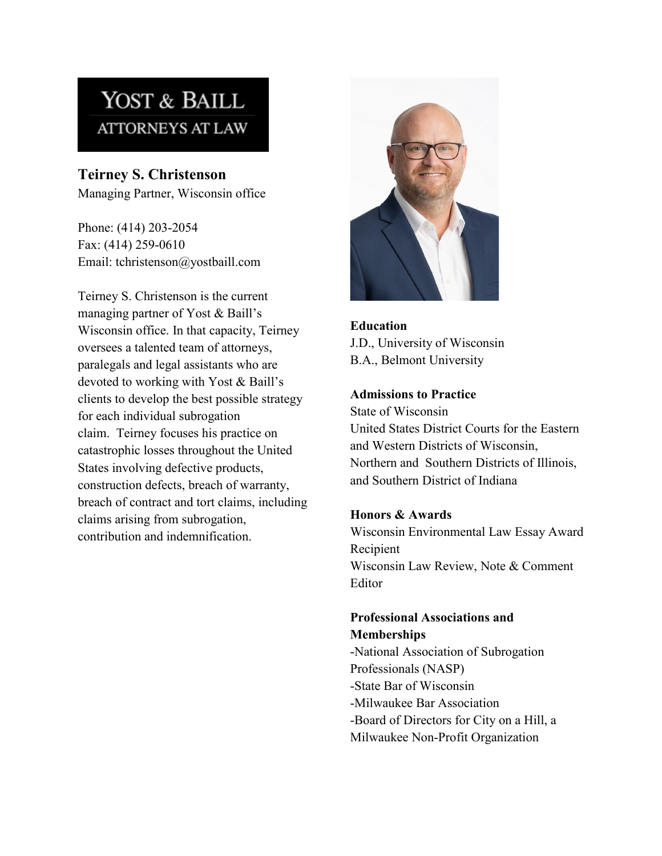# YOST & BAILL **ATTORNEYS AT LAW**

**Teirney S. Christenson** Managing Partner, Wisconsin office

Phone: (414) 203-2054 Fax: (414) 259-0610 Email: tchristenson@yostbaill.com

Teirney S. Christenson is the current managing partner of Yost & Baill's Wisconsin office. In that capacity, Teirney oversees a talented team of attorneys, paralegals and legal assistants who are devoted to working with Yost & Baill's clients to develop the best possible strategy for each individual subrogation claim. Teirney focuses his practice on catastrophic losses throughout the United States involving defective products, construction defects, breach of warranty, breach of contract and tort claims, including claims arising from subrogation, contribution and indemnification.



**Education**  J.D., University of Wisconsin B.A., Belmont University

#### **Admissions to Practice**

State of Wisconsin United States District Courts for the Eastern and Western Districts of Wisconsin, Northern and Southern Districts of Illinois, and Southern District of Indiana

#### **Honors & Awards**

Wisconsin Environmental Law Essay Award Recipient Wisconsin Law Review, Note & Comment Editor

## **Professional Associations and Memberships**

-National Association of Subrogation Professionals (NASP) -State Bar of Wisconsin -Milwaukee Bar Association -Board of Directors for City on a Hill, a Milwaukee Non-Profit Organization